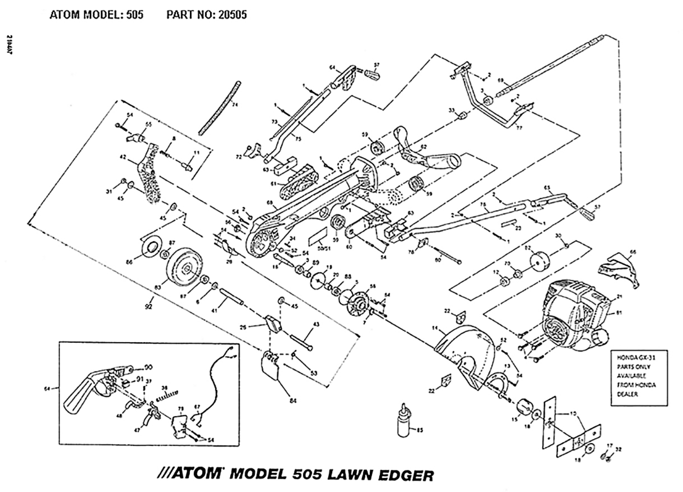

///ATOM MODEL 505 LAWN EDGER